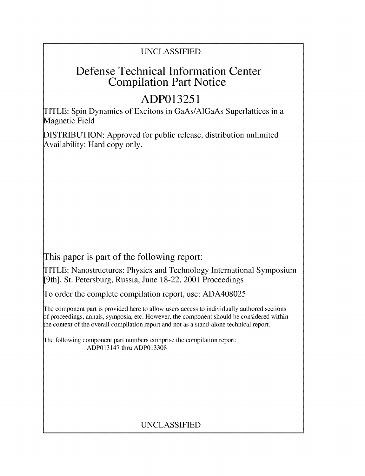### UNCLASSIFIED

## Defense Technical Information Center Compilation Part Notice

# **ADP013251**

TITLE: Spin Dynamics of Excitons in GaAs/AJGaAs Superlattices in a Magnetic Field

DISTRIBUTION: Approved for public release, distribution unlimited Availability: Hard copy only.

This paper is part of the following report:

TITLE: Nanostructures: Physics and Technology International Symposium [9th], St. Petersburg, Russia, June 18-22, 2001 Proceedings

To order the complete compilation report, use: ADA408025

The component part is provided here to allow users access to individually authored sections f proceedings, annals, symposia, etc. However, the component should be considered within the context of the overall compilation report and not as a stand-alone technical report.

The following component part numbers comprise the compilation report: ADP013147 thru ADP013308

## UNCLASSIFIED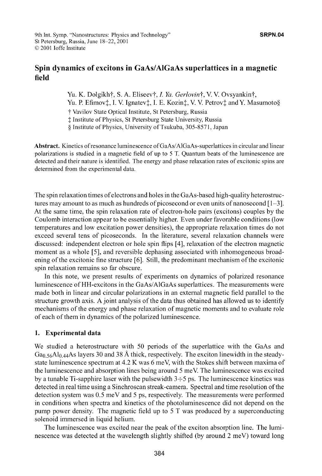#### Spin dynamics of excitons in GaAs/AlGaAs superlattices in a magnetic field

Yu. K. Dolgikh<sup>†</sup>, S. A. Eliseev†, *I. Ya. Gerlovin*†, V. V. Ovsyankin†, Yu. P. Efimov $\ddagger$ , I. V. Ignatev $\ddagger$ , I. E. Kozin $\ddagger$ , V. V. Petrov $\ddagger$  and Y. Masumoto§ t Vavilov State Optical Institute, St Petersburg, Russia **I** Institute of Physics, St Petersburg State University, Russia **§** Institute of Physics, University of Tsukuba, 305-8571, Japan

Abstract. Kinetics of resonance luminescence of GaAs/AlGaAs-superlattices in circular and linear polarizations is studied in a magnetic field of up to 5 T. Quantum beats of the luminescence are detected and their nature is identified. The energy and phase relaxation rates of excitonic spins are determined from the experimental data.

The spin relaxation times of electrons and holes in the GaAs-based high-quality heterostructures may amount to as much as hundreds of picosecond or even units of nanosecond  $[1-3]$ . At the same time, the spin relaxation rate of electron-hole pairs (excitons) couples by the Coulomb interaction appear to be essentially higher. Even under favorable conditions (low temperatures and low excitation power densities), the appropriate relaxation times do not exceed several tens of picoseconds. In the literature, several relaxation channels were discussed: independent electron or hole spin flips [4], relaxation of the electron magnetic moment as a whole [5], and reversible dephasing associated with inhomogeneous broadening of the excitonic fine structure [6]. Still, the predominant mechanism of the excitonic spin relaxation remains so far obscure.

In this note, we present results of experiments on dynamics of polarized resonance luminescence of HH-excitons in the GaAs/AlGaAs superlattices. The measurements were made both in linear and circular polarizations in an external magnetic field parallel to the structure growth axis. A joint analysis of the data thus obtained has allowed us to identify mechanisms of the energy and phase relaxation of magnetic moments and to evaluate role of each of them in dynamics of the polarized luminescence.

#### 1. Experimental data

We studied a heterostructure with 50 periods of the superlattice with the GaAs and Ga<sub>0.56</sub>Al<sub>0.44</sub>As layers 30 and 38 Å thick, respectively. The exciton linewidth in the steadystate luminescence spectrum at 4.2 K was 6 meV, with the Stokes shift between maxima of the luminescence and absorption lines being around 5 meV. The luminescence was excited by a tunable Ti-sapphire laser with the pulsewidth **3-5** ps. The luminescence kinetics was detected in real time using a Sinchroscan streak-camera. Spectral and time resolution of the detection system was 0.5 meV and 5 ps, respectively. The measurements were performed in conditions when spectra and kinetics of the photoluminescence did not depend on the pump power density. The magnetic field up to 5 T was produced by a superconducting solenoid immersed in liquid helium.

The luminescence was excited near the peak of the exciton absorption line. The luminescence was detected at the wavelength slightly shifted (by around 2 meV) toward long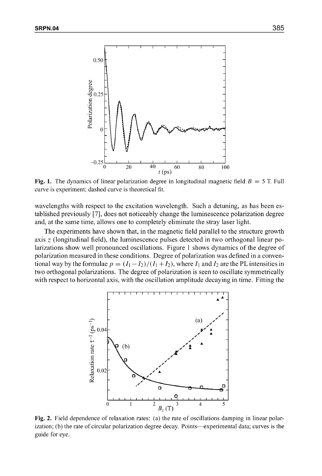

**Fig. 1.** The dynamics of linear polarization degree in longitudinal magnetic field  $B = 5$  T. Full curve is experiment; dashed curve is theoretical fit.

wavelengths with respect to the excitation wavelength. Such a detuning, as has been established previously [7], does not noticeably change the luminescence polarization degree and, at the same time, allows one to completely eliminate the stray laser light.

The experiments have shown that, in the magnetic field parallel to the structure growth axis z (longitudinal field), the luminescence pulses detected in two orthogonal linear polarizations show well pronounced oscillations. Figure 1 shows dynamics of the degree of polarization measured in these conditions. Degree of polarization was defined in a conventional way by the formulae  $p = (I_1 - I_2)/(I_1 + I_2)$ , where  $I_1$  and  $I_2$  are the PL intensities in two orthogonal polarizations. The degree of polarization is seen to oscillate symmetrically with respect to horizontal axis, with the oscillation amplitude decaying in time. Fitting the



Fig. 2. Field dependence of relaxation rates: (a) the rate of oscillations damping in linear polarization; (b) the rate of circular polarization degree decay. Points—experimental data; curves is the guide for eye.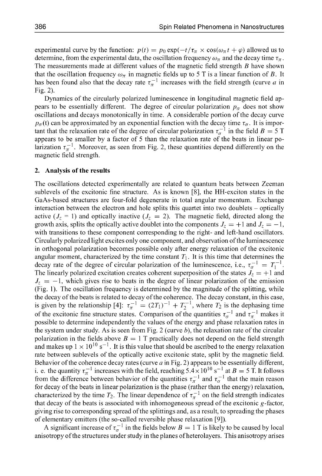experimental curve by the function:  $p(t) = p_0 \exp(-t/\tau_\pi \times \cos(\omega_\pi t + \varphi))$  allowed us to determine, from the experimental data, the oscillation frequency  $\omega_{\pi}$  and the decay time  $\tau_{\pi}$ . The measurements made at different values of the magnetic field strength B have shown that the oscillation frequency  $\omega_{\pi}$  in magnetic fields up to 5 T is a linear function of *B*. It has been found also that the decay rate  $\tau_{\pi}^{-1}$  increases with the field strength (curve a in Fig. 2).

Dynamics of the circularly polarized luminescence in longitudinal magnetic field appears to be essentially different. The degree of circular polarization  $p_{\sigma}$  does not show oscillations and decays monotonically in time. A considerable portion of the decay curve  $p_{\sigma}$ (t) can be approximated by an exponential function with the decay time  $\tau_{\sigma}$ . It is important that the relaxation rate of the degree of circular polarization  $\tau_{\sigma}^{-1}$  in the field *B* = 5 T appears to be smaller by a factor of 5 than the relaxation rate of the beats in linear polarization  $\tau_{\pi}^{-1}$ . Moreover, as seen from Fig. 2, these quantities depend differently on the magnetic field strength.

#### 2. Analysis of the results

The oscillations detected experimentally are related to quantum beats between Zeeman sublevels of the excitonic fine structure. As is known [8], the HH-exciton states in the GaAs-based structures are four-fold degenerate in total angular momentum. Exchange interaction between the electron and hole splits this quartet into two doublets – optically active  $(J_z = 1)$  and optically inactive  $(J_z = 2)$ . The magnetic field, directed along the growth axis, splits the optically active doublet into the components  $J_z = +1$  and  $J_z = -1$ , with transitions to these component corresponding to the right- and left-hand oscillators. Circularly polarized light excites only one component, and observation of the luminescence in orthogonal polarization becomes possible only after energy relaxation of the excitonic angular moment, characterized by the time constant  $T_1$ . It is this time that determines the decay rate of the degree of circular polarization of the luminescence, i.e.,  $\tau_{\sigma}^{-1} = T_1^{-1}$ . The linearly polarized excitation creates coherent superposition of the states  $J_z = +1$  and  $J_z = -1$ , which gives rise to beats in the degree of linear polarization of the emission (Fig. 1). The oscillation frequency is determined by the magnitude of the splitting, while the decay of the beats is related to decay of the coherence. The decay constant, in this case, is given by the relationship [4]:  $\tau_{\pi}^{-1} = (2T_1)^{-1} + T_2^{-1}$ , where  $T_2$  is the dephasing time of the excitonic fine structure states. Comparison of the quantities  $\tau_{\sigma}^{-1}$  and  $\tau_{\pi}^{-1}$  makes it possible to determine independently the values of the energy and phase relaxation rates in the system under study. As is seen from Fig. 2 (curve **b),** the relaxation rate of the circular polarization in the fields above  $B = 1$  T practically does not depend on the field strength and makes up  $1 \times 10^{10}$  s<sup>-1</sup>. It is this value that should be ascribed to the energy relaxation rate between sublevels of the optically active excitonic state, split by the magnetic field. Behavior of the coherence decay rates (curve  $a$  in Fig. 2) appears to be essentially different. i. e. the quantity  $\tau_n^{-1}$  increases with the field, reaching  $5.4 \times 10^{10}$  s<sup>-1</sup> at *B* = 5 T. It follows from the difference between behavior of the quantities  $\tau_{\pi}^{-1}$  and  $\tau_{\sigma}^{-1}$  that the main reason for decay of the beats in linear polarization is the phase (rather than the energy) relaxation, characterized by the time  $T_2$ . The linear dependence of  $\tau_{\pi}^{-1}$  on the field strength indicates that decay of the beats is associated with inhomogeneous spread of the excitonic  $g$ -factor, giving rise to corresponding spread of the splittings and, as a result, to spreading the phases of elementary emitters (the so-called reversible phase relaxation [9]).

A significant increase of  $\tau_{\sigma}^{-1}$  in the fields below  $B = 1$  T is likely to be caused by local anisotropy of the structures under study in the planes of heterolayers. This anisotropy arises